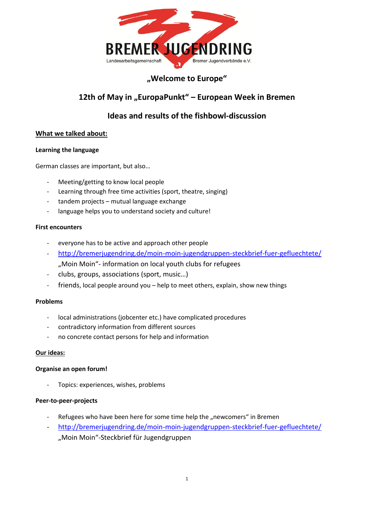

## **"Welcome to Europe"**

# 12th of May in "EuropaPunkt" – European Week in Bremen

# **Ideas and results of the fishbowl-discussion**

## **What we talked about:**

### **Learning the language**

German classes are important, but also…

- Meeting/getting to know local people
- Learning through free time activities (sport, theatre, singing)
- tandem projects mutual language exchange
- language helps you to understand society and culture!

#### **First encounters**

- everyone has to be active and approach other people
- <http://bremerjugendring.de/moin-moin-jugendgruppen-steckbrief-fuer-gefluechtete/> "Moin Moin"- information on local youth clubs for refugees
- clubs, groups, associations (sport, music…)
- friends, local people around you help to meet others, explain, show new things

#### **Problems**

- local administrations (jobcenter etc.) have complicated procedures
- contradictory information from different sources
- no concrete contact persons for help and information

#### **Our ideas:**

#### **Organise an open forum!**

Topics: experiences, wishes, problems

#### **Peer-to-peer-projects**

- Refugees who have been here for some time help the "newcomers" in Bremen
- <http://bremerjugendring.de/moin-moin-jugendgruppen-steckbrief-fuer-gefluechtete/> "Moin Moin"-Steckbrief für Jugendgruppen